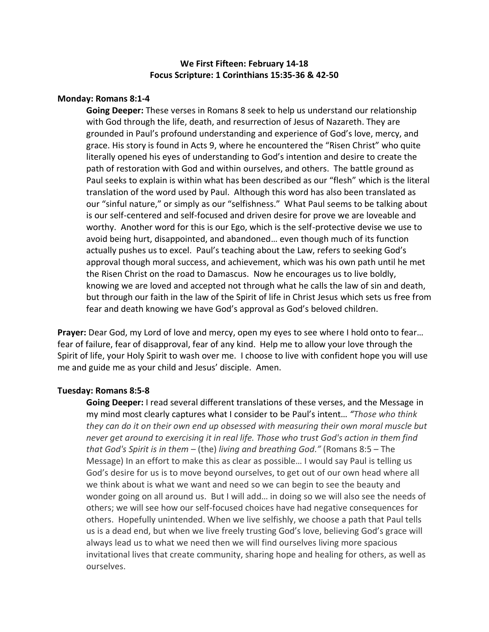# **We First Fifteen: February 14-18 Focus Scripture: 1 Corinthians 15:35-36 & 42-50**

## **Monday: Romans 8:1-4**

**Going Deeper:** These verses in Romans 8 seek to help us understand our relationship with God through the life, death, and resurrection of Jesus of Nazareth. They are grounded in Paul's profound understanding and experience of God's love, mercy, and grace. His story is found in Acts 9, where he encountered the "Risen Christ" who quite literally opened his eyes of understanding to God's intention and desire to create the path of restoration with God and within ourselves, and others. The battle ground as Paul seeks to explain is within what has been described as our "flesh" which is the literal translation of the word used by Paul. Although this word has also been translated as our "sinful nature," or simply as our "selfishness." What Paul seems to be talking about is our self-centered and self-focused and driven desire for prove we are loveable and worthy. Another word for this is our Ego, which is the self-protective devise we use to avoid being hurt, disappointed, and abandoned… even though much of its function actually pushes us to excel. Paul's teaching about the Law, refers to seeking God's approval though moral success, and achievement, which was his own path until he met the Risen Christ on the road to Damascus. Now he encourages us to live boldly, knowing we are loved and accepted not through what he calls the law of sin and death, but through our faith in the law of the Spirit of life in Christ Jesus which sets us free from fear and death knowing we have God's approval as God's beloved children.

**Prayer:** Dear God, my Lord of love and mercy, open my eyes to see where I hold onto to fear… fear of failure, fear of disapproval, fear of any kind. Help me to allow your love through the Spirit of life, your Holy Spirit to wash over me. I choose to live with confident hope you will use me and guide me as your child and Jesus' disciple. Amen.

#### **Tuesday: Romans 8:5-8**

**Going Deeper:** I read several different translations of these verses, and the Message in my mind most clearly captures what I consider to be Paul's intent… *"Those who think they can do it on their own end up obsessed with measuring their own moral muscle but never get around to exercising it in real life. Those who trust God's action in them find that God's Spirit is in them –* (the) *living and breathing God."* (Romans 8:5 – The Message) In an effort to make this as clear as possible… I would say Paul is telling us God's desire for us is to move beyond ourselves, to get out of our own head where all we think about is what we want and need so we can begin to see the beauty and wonder going on all around us. But I will add… in doing so we will also see the needs of others; we will see how our self-focused choices have had negative consequences for others. Hopefully unintended. When we live selfishly, we choose a path that Paul tells us is a dead end, but when we live freely trusting God's love, believing God's grace will always lead us to what we need then we will find ourselves living more spacious invitational lives that create community, sharing hope and healing for others, as well as ourselves.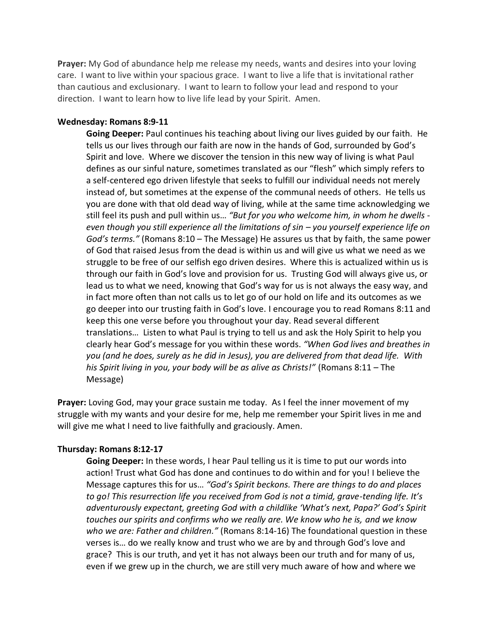**Prayer:** My God of abundance help me release my needs, wants and desires into your loving care. I want to live within your spacious grace. I want to live a life that is invitational rather than cautious and exclusionary. I want to learn to follow your lead and respond to your direction. I want to learn how to live life lead by your Spirit. Amen.

#### **Wednesday: Romans 8:9-11**

**Going Deeper:** Paul continues his teaching about living our lives guided by our faith. He tells us our lives through our faith are now in the hands of God, surrounded by God's Spirit and love. Where we discover the tension in this new way of living is what Paul defines as our sinful nature, sometimes translated as our "flesh" which simply refers to a self-centered ego driven lifestyle that seeks to fulfill our individual needs not merely instead of, but sometimes at the expense of the communal needs of others. He tells us you are done with that old dead way of living, while at the same time acknowledging we still feel its push and pull within us… *"But for you who welcome him, in whom he dwells even though you still experience all the limitations of sin – you yourself experience life on God's terms."* (Romans 8:10 – The Message) He assures us that by faith, the same power of God that raised Jesus from the dead is within us and will give us what we need as we struggle to be free of our selfish ego driven desires. Where this is actualized within us is through our faith in God's love and provision for us. Trusting God will always give us, or lead us to what we need, knowing that God's way for us is not always the easy way, and in fact more often than not calls us to let go of our hold on life and its outcomes as we go deeper into our trusting faith in God's love. I encourage you to read Romans 8:11 and keep this one verse before you throughout your day. Read several different translations… Listen to what Paul is trying to tell us and ask the Holy Spirit to help you clearly hear God's message for you within these words. *"When God lives and breathes in you (and he does, surely as he did in Jesus), you are delivered from that dead life. With his Spirit living in you, your body will be as alive as Christs!"* (Romans 8:11 – The Message)

**Prayer:** Loving God, may your grace sustain me today. As I feel the inner movement of my struggle with my wants and your desire for me, help me remember your Spirit lives in me and will give me what I need to live faithfully and graciously. Amen.

## **Thursday: Romans 8:12-17**

**Going Deeper:** In these words, I hear Paul telling us it is time to put our words into action! Trust what God has done and continues to do within and for you! I believe the Message captures this for us… *"God's Spirit beckons. There are things to do and places to go! This resurrection life you received from God is not a timid, grave-tending life. It's adventurously expectant, greeting God with a childlike 'What's next, Papa?' God's Spirit touches our spirits and confirms who we really are. We know who he is, and we know who we are: Father and children."* (Romans 8:14-16) The foundational question in these verses is… do we really know and trust who we are by and through God's love and grace? This is our truth, and yet it has not always been our truth and for many of us, even if we grew up in the church, we are still very much aware of how and where we